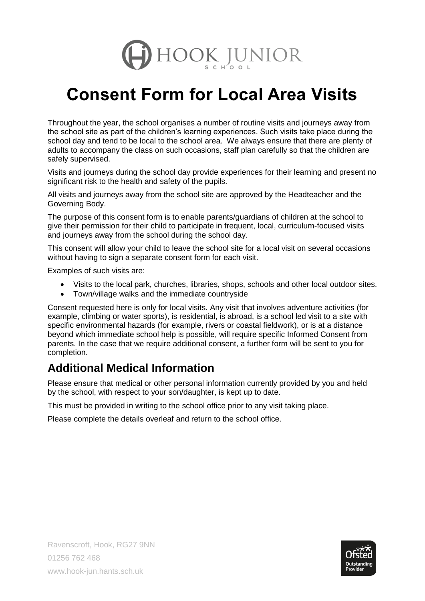

## **Consent Form for Local Area Visits**

Throughout the year, the school organises a number of routine visits and journeys away from the school site as part of the children's learning experiences. Such visits take place during the school day and tend to be local to the school area. We always ensure that there are plenty of adults to accompany the class on such occasions, staff plan carefully so that the children are safely supervised.

Visits and journeys during the school day provide experiences for their learning and present no significant risk to the health and safety of the pupils.

All visits and journeys away from the school site are approved by the Headteacher and the Governing Body.

The purpose of this consent form is to enable parents/guardians of children at the school to give their permission for their child to participate in frequent, local, curriculum-focused visits and journeys away from the school during the school day.

This consent will allow your child to leave the school site for a local visit on several occasions without having to sign a separate consent form for each visit.

Examples of such visits are:

- Visits to the local park, churches, libraries, shops, schools and other local outdoor sites.
- Town/village walks and the immediate countryside

Consent requested here is only for local visits. Any visit that involves adventure activities (for example, climbing or water sports), is residential, is abroad, is a school led visit to a site with specific environmental hazards (for example, rivers or coastal fieldwork), or is at a distance beyond which immediate school help is possible, will require specific Informed Consent from parents. In the case that we require additional consent, a further form will be sent to you for completion.

## **Additional Medical Information**

Please ensure that medical or other personal information currently provided by you and held by the school, with respect to your son/daughter, is kept up to date.

This must be provided in writing to the school office prior to any visit taking place.

Please complete the details overleaf and return to the school office.